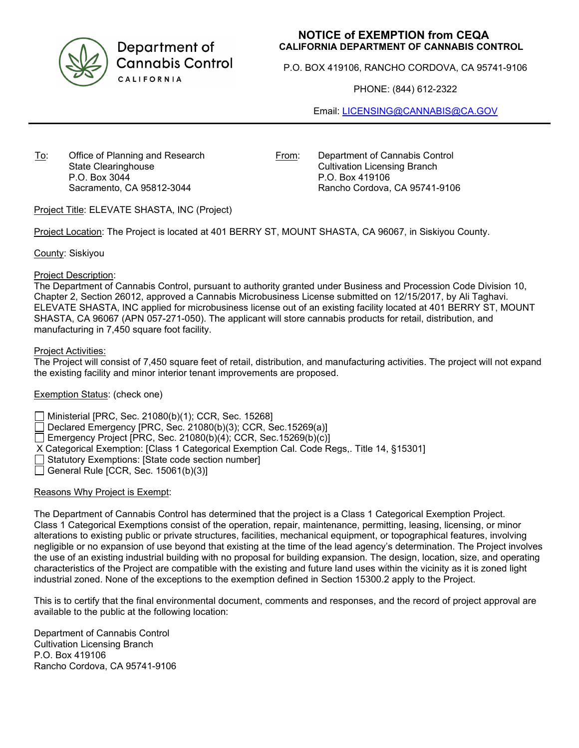

Department of **Cannabis Control** CALIFORNIA

# **NOTICE of EXEMPTION from CEQA CALIFORNIA DEPARTMENT OF CANNABIS CONTROL**

P.O. BOX 419106, RANCHO CORDOVA, CA 95741-9106

PHONE: (844) 612-2322

Email: [LICENSING@CANNABIS@CA.GOV](mailto:LICENSING@CANNABIS@CA.GOV)

To: Office of Planning and Research State Clearinghouse P.O. Box 3044 Sacramento, CA 95812-3044

From: Department of Cannabis Control Cultivation Licensing Branch P.O. Box 419106 Rancho Cordova, CA 95741-9106

Project Title: ELEVATE SHASTA, INC (Project)

Project Location: The Project is located at 401 BERRY ST, MOUNT SHASTA, CA 96067, in Siskiyou County.

County: Siskiyou

#### Project Description:

The Department of Cannabis Control, pursuant to authority granted under Business and Procession Code Division 10, Chapter 2, Section 26012, approved a Cannabis Microbusiness License submitted on 12/15/2017, by Ali Taghavi. ELEVATE SHASTA, INC applied for microbusiness license out of an existing facility located at 401 BERRY ST, MOUNT SHASTA, CA 96067 (APN 057-271-050). The applicant will store cannabis products for retail, distribution, and manufacturing in 7,450 square foot facility.

#### Project Activities:

The Project will consist of 7,450 square feet of retail, distribution, and manufacturing activities. The project will not expand the existing facility and minor interior tenant improvements are proposed.

## Exemption Status: (check one)

Ministerial [PRC, Sec. 21080(b)(1); CCR, Sec. 15268]

Declared Emergency [PRC, Sec. 21080(b)(3); CCR, Sec.15269(a)]

Emergency Project [PRC, Sec. 21080(b)(4); CCR, Sec. 15269(b)(c)]

X Categorical Exemption: [Class 1 Categorical Exemption Cal. Code Regs,. Title 14, §15301]

Statutory Exemptions: [State code section number]

General Rule [CCR, Sec.  $15061(b)(3)$ ]

## Reasons Why Project is Exempt:

The Department of Cannabis Control has determined that the project is a Class 1 Categorical Exemption Project. Class 1 Categorical Exemptions consist of the operation, repair, maintenance, permitting, leasing, licensing, or minor alterations to existing public or private structures, facilities, mechanical equipment, or topographical features, involving negligible or no expansion of use beyond that existing at the time of the lead agency's determination. The Project involves the use of an existing industrial building with no proposal for building expansion. The design, location, size, and operating characteristics of the Project are compatible with the existing and future land uses within the vicinity as it is zoned light industrial zoned. None of the exceptions to the exemption defined in Section 15300.2 apply to the Project.

This is to certify that the final environmental document, comments and responses, and the record of project approval are available to the public at the following location:

Department of Cannabis Control Cultivation Licensing Branch P.O. Box 419106 Rancho Cordova, CA 95741-9106